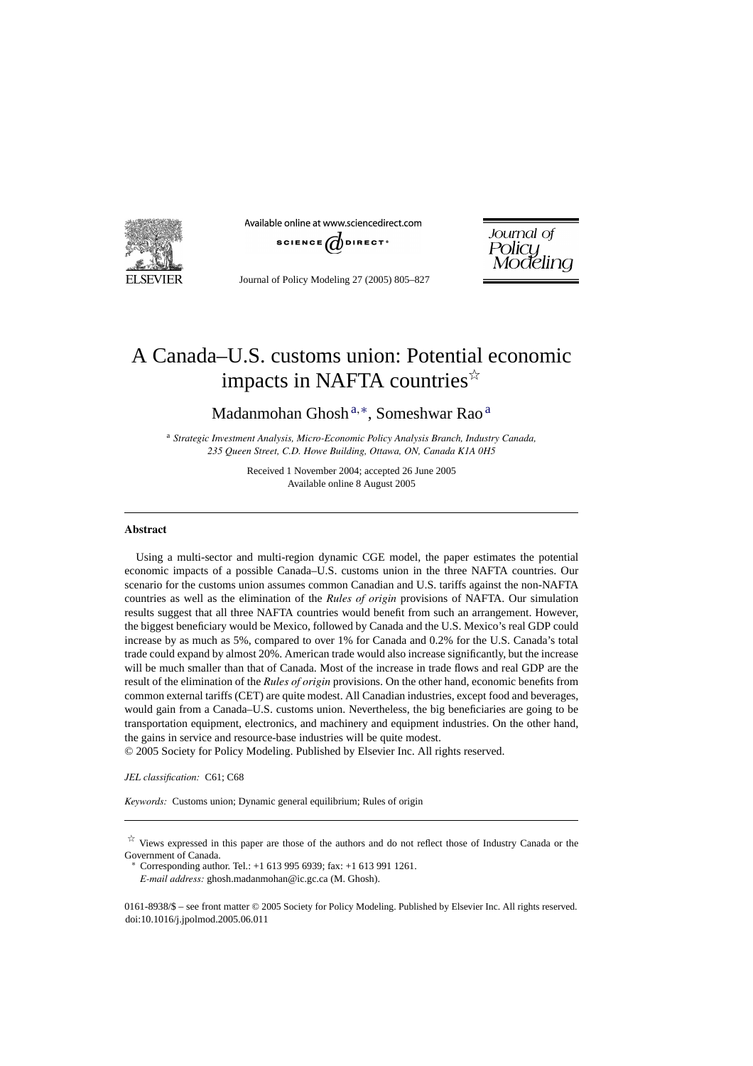

Available online at www.sciencedirect.com



Journal of Policy<br>Modeling

Journal of Policy Modeling 27 (2005) 805–827

## A Canada–U.S. customs union: Potential economic impacts in NAFTA countries $\overrightarrow{x}$

Madanmohan Ghosh <sup>a</sup>,∗, Someshwar Rao <sup>a</sup>

<sup>a</sup> *Strategic Investment Analysis, Micro-Economic Policy Analysis Branch, Industry Canada, 235 Queen Street, C.D. Howe Building, Ottawa, ON, Canada K1A 0H5*

> Received 1 November 2004; accepted 26 June 2005 Available online 8 August 2005

## **Abstract**

Using a multi-sector and multi-region dynamic CGE model, the paper estimates the potential economic impacts of a possible Canada–U.S. customs union in the three NAFTA countries. Our scenario for the customs union assumes common Canadian and U.S. tariffs against the non-NAFTA countries as well as the elimination of the *Rules of origin* provisions of NAFTA. Our simulation results suggest that all three NAFTA countries would benefit from such an arrangement. However, the biggest beneficiary would be Mexico, followed by Canada and the U.S. Mexico's real GDP could increase by as much as 5%, compared to over 1% for Canada and 0.2% for the U.S. Canada's total trade could expand by almost 20%. American trade would also increase significantly, but the increase will be much smaller than that of Canada. Most of the increase in trade flows and real GDP are the result of the elimination of the *Rules of origin* provisions. On the other hand, economic benefits from common external tariffs (CET) are quite modest. All Canadian industries, except food and beverages, would gain from a Canada–U.S. customs union. Nevertheless, the big beneficiaries are going to be transportation equipment, electronics, and machinery and equipment industries. On the other hand, the gains in service and resource-base industries will be quite modest.

© 2005 Society for Policy Modeling. Published by Elsevier Inc. All rights reserved.

*JEL classification:* C61; C68

*Keywords:* Customs union; Dynamic general equilibrium; Rules of origin

∗ Corresponding author. Tel.: +1 613 995 6939; fax: +1 613 991 1261. *E-mail address:* ghosh.madanmohan@ic.gc.ca (M. Ghosh).

0161-8938/\$ – see front matter © 2005 Society for Policy Modeling. Published by Elsevier Inc. All rights reserved. doi:10.1016/j.jpolmod.2005.06.011

 $\overrightarrow{a}$  Views expressed in this paper are those of the authors and do not reflect those of Industry Canada or the Government of Canada.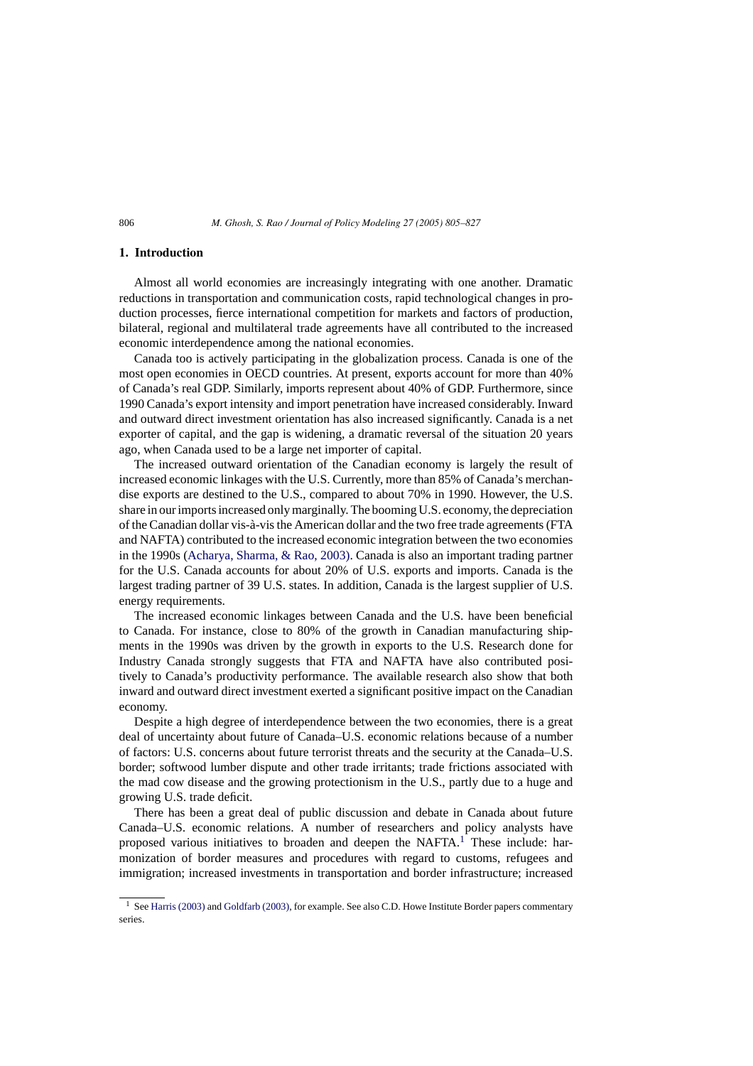## **1. Introduction**

Almost all world economies are increasingly integrating with one another. Dramatic reductions in transportation and communication costs, rapid technological changes in production processes, fierce international competition for markets and factors of production, bilateral, regional and multilateral trade agreements have all contributed to the increased economic interdependence among the national economies.

Canada too is actively participating in the globalization process. Canada is one of the most open economies in OECD countries. At present, exports account for more than 40% of Canada's real GDP. Similarly, imports represent about 40% of GDP. Furthermore, since 1990 Canada's export intensity and import penetration have increased considerably. Inward and outward direct investment orientation has also increased significantly. Canada is a net exporter of capital, and the gap is widening, a dramatic reversal of the situation 20 years ago, when Canada used to be a large net importer of capital.

The increased outward orientation of the Canadian economy is largely the result of increased economic linkages with the U.S. Currently, more than 85% of Canada's merchandise exports are destined to the U.S., compared to about 70% in 1990. However, the U.S. share in our imports increased only marginally. The booming U.S. economy, the depreciation of the Canadian dollar vis-a-vis the American dollar and the two free trade agreements (FTA ` and NAFTA) contributed to the increased economic integration between the two economies in the 1990s [\(Acharya, Sharma, & Rao, 2003\). C](#page--1-0)anada is also an important trading partner for the U.S. Canada accounts for about 20% of U.S. exports and imports. Canada is the largest trading partner of 39 U.S. states. In addition, Canada is the largest supplier of U.S. energy requirements.

The increased economic linkages between Canada and the U.S. have been beneficial to Canada. For instance, close to 80% of the growth in Canadian manufacturing shipments in the 1990s was driven by the growth in exports to the U.S. Research done for Industry Canada strongly suggests that FTA and NAFTA have also contributed positively to Canada's productivity performance. The available research also show that both inward and outward direct investment exerted a significant positive impact on the Canadian economy.

Despite a high degree of interdependence between the two economies, there is a great deal of uncertainty about future of Canada–U.S. economic relations because of a number of factors: U.S. concerns about future terrorist threats and the security at the Canada–U.S. border; softwood lumber dispute and other trade irritants; trade frictions associated with the mad cow disease and the growing protectionism in the U.S., partly due to a huge and growing U.S. trade deficit.

There has been a great deal of public discussion and debate in Canada about future Canada–U.S. economic relations. A number of researchers and policy analysts have proposed various initiatives to broaden and deepen the NAFTA.<sup>1</sup> These include: harmonization of border measures and procedures with regard to customs, refugees and immigration; increased investments in transportation and border infrastructure; increased

<sup>&</sup>lt;sup>1</sup> See [Harris \(2003\)](#page--1-0) and [Goldfarb \(2003\), f](#page--1-0)or example. See also C.D. Howe Institute Border papers commentary series.